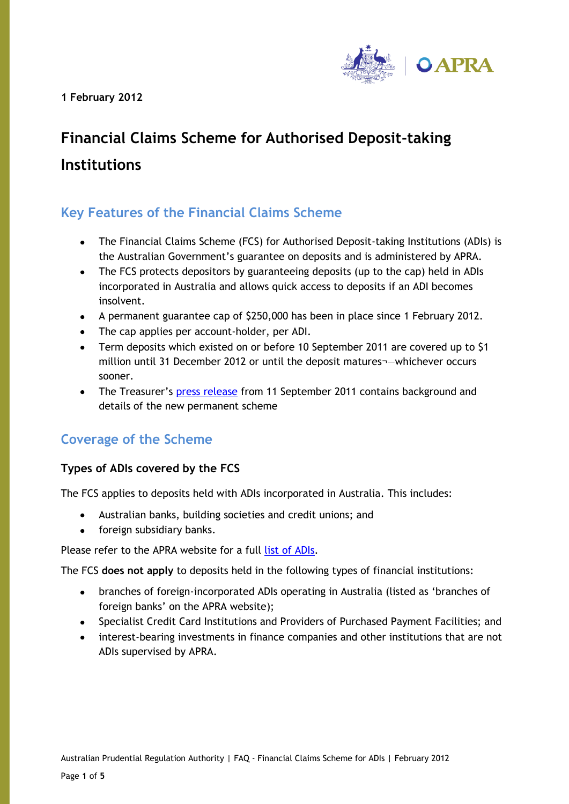**1 February 2012** 



# **Financial Claims Scheme for Authorised Deposit-taking Institutions**

# **Key Features of the Financial Claims Scheme**

- The Financial Claims Scheme (FCS) for Authorised Deposit-taking Institutions (ADIs) is  $\bullet$ the Australian Government's guarantee on deposits and is administered by APRA.
- The FCS protects depositors by guaranteeing deposits (up to the cap) held in ADIs  $\bullet$ incorporated in Australia and allows quick access to deposits if an ADI becomes insolvent.
- A permanent guarantee cap of \$250,000 has been in place since 1 February 2012.
- The cap applies per account-holder, per ADI.
- Term deposits which existed on or before 10 September 2011 are covered up to \$1 million until 31 December 2012 or until the deposit matures¬—whichever occurs sooner.
- The Treasurer's [press release](http://www.treasurer.gov.au/DisplayDocs.aspx?doc=pressreleases/2011/109.htm&pageID=003&min=wms&Year=&DocType=) from 11 September 2011 contains background and details of the new permanent scheme

# **Coverage of the Scheme**

## **Types of ADIs covered by the FCS**

The FCS applies to deposits held with ADIs incorporated in Australia. This includes:

- Australian banks, building societies and credit unions; and  $\bullet$
- foreign subsidiary banks.  $\bullet$

Please refer to the APRA website for a full [list of ADIs.](http://www.apra.gov.au/adi/Pages/adilist.aspx)

The FCS **does not apply** to deposits held in the following types of financial institutions:

- branches of foreign-incorporated ADIs operating in Australia (listed as 'branches of  $\bullet$ foreign banks' on the APRA website);
- Specialist Credit Card Institutions and Providers of Purchased Payment Facilities; and
- interest-bearing investments in finance companies and other institutions that are not ADIs supervised by APRA.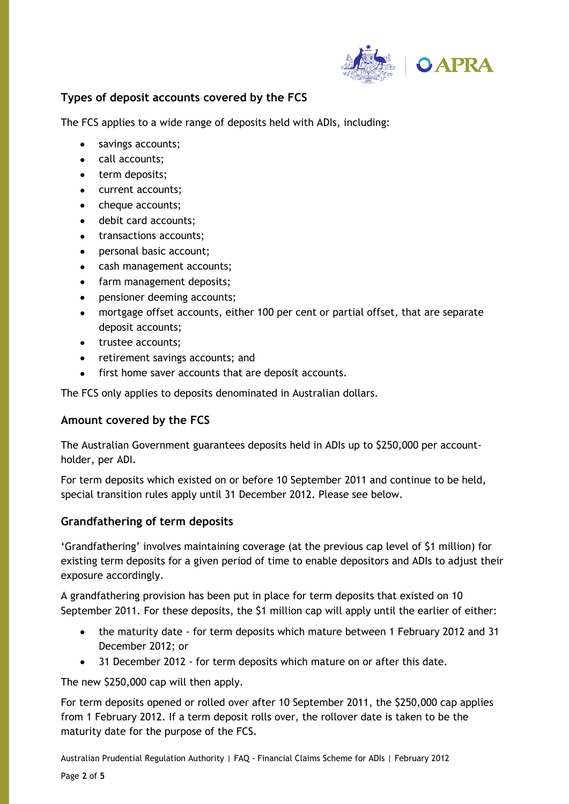

## **Types of deposit accounts covered by the FCS**

The FCS applies to a wide range of deposits held with ADIs, including:

- savings accounts;
- call accounts;
- term deposits;
- current accounts;
- cheque accounts;
- debit card accounts;
- transactions accounts;
- personal basic account;
- cash management accounts;
- farm management deposits;
- pensioner deeming accounts;
- mortgage offset accounts, either 100 per cent or partial offset, that are separate deposit accounts;
- trustee accounts;
- retirement savings accounts; and
- first home saver accounts that are deposit accounts.

The FCS only applies to deposits denominated in Australian dollars.

#### **Amount covered by the FCS**

The Australian Government guarantees deposits held in ADIs up to \$250,000 per accountholder, per ADI.

For term deposits which existed on or before 10 September 2011 and continue to be held, special transition rules apply until 31 December 2012. Please see below.

#### **Grandfathering of term deposits**

'Grandfathering' involves maintaining coverage (at the previous cap level of \$1 million) for existing term deposits for a given period of time to enable depositors and ADIs to adjust their exposure accordingly.

A grandfathering provision has been put in place for term deposits that existed on 10 September 2011. For these deposits, the \$1 million cap will apply until the earlier of either:

- the maturity date for term deposits which mature between 1 February 2012 and 31  $\bullet$ December 2012; or
- $\bullet$ 31 December 2012 - for term deposits which mature on or after this date.

The new \$250,000 cap will then apply.

For term deposits opened or rolled over after 10 September 2011, the \$250,000 cap applies from 1 February 2012. If a term deposit rolls over, the rollover date is taken to be the maturity date for the purpose of the FCS.

Australian Prudential Regulation Authority | FAQ - Financial Claims Scheme for ADIs | February 2012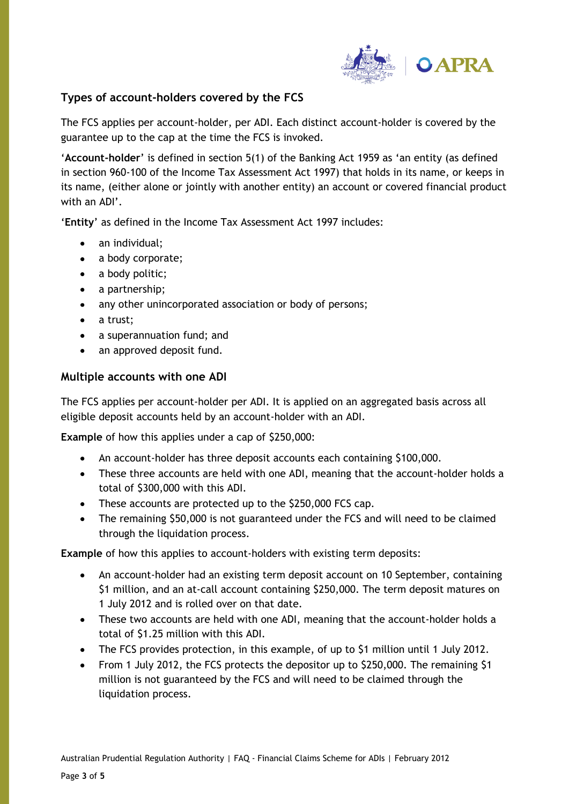

#### **Types of account-holders covered by the FCS**

The FCS applies per account-holder, per ADI. Each distinct account-holder is covered by the guarantee up to the cap at the time the FCS is invoked.

'**Account-holder**' is defined in section 5(1) of the Banking Act 1959 as 'an entity (as defined in section 960-100 of the Income Tax Assessment Act 1997) that holds in its name, or keeps in its name, (either alone or jointly with another entity) an account or covered financial product with an ADI'.

'**Entity**' as defined in the Income Tax Assessment Act 1997 includes:

- an individual;
- a body corporate;
- a body politic;
- a partnership;
- any other unincorporated association or body of persons;
- a trust;
- a superannuation fund; and
- an approved deposit fund.

#### **Multiple accounts with one ADI**

The FCS applies per account-holder per ADI. It is applied on an aggregated basis across all eligible deposit accounts held by an account-holder with an ADI.

**Example** of how this applies under a cap of \$250,000:

- $\bullet$ An account-holder has three deposit accounts each containing \$100,000.
- These three accounts are held with one ADI, meaning that the account-holder holds a total of \$300,000 with this ADI.
- These accounts are protected up to the \$250,000 FCS cap.
- The remaining \$50,000 is not guaranteed under the FCS and will need to be claimed  $\bullet$ through the liquidation process.

**Example** of how this applies to account-holders with existing term deposits:

- An account-holder had an existing term deposit account on 10 September, containing  $\bullet$ \$1 million, and an at-call account containing \$250,000. The term deposit matures on 1 July 2012 and is rolled over on that date.
- $\bullet$ These two accounts are held with one ADI, meaning that the account-holder holds a total of \$1.25 million with this ADI.
- The FCS provides protection, in this example, of up to \$1 million until 1 July 2012.
- From 1 July 2012, the FCS protects the depositor up to \$250,000. The remaining \$1 million is not guaranteed by the FCS and will need to be claimed through the liquidation process.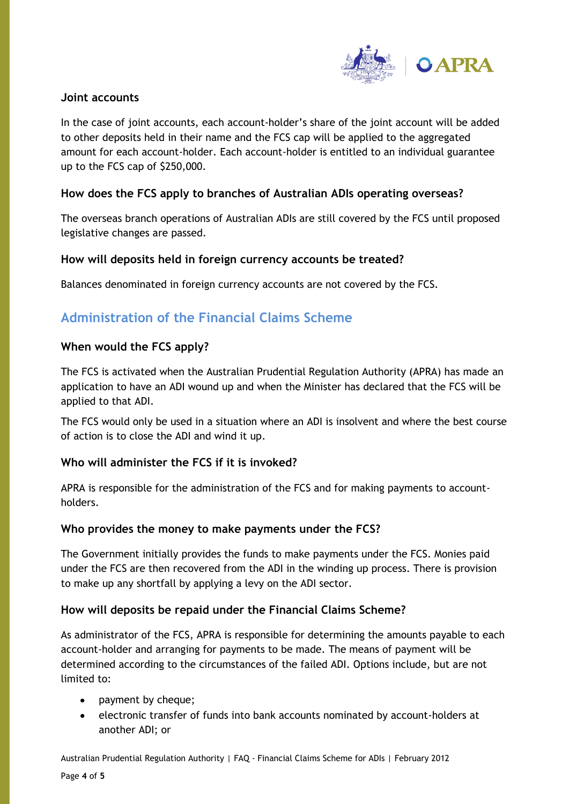

#### **Joint accounts**

In the case of joint accounts, each account-holder's share of the joint account will be added to other deposits held in their name and the FCS cap will be applied to the aggregated amount for each account-holder. Each account-holder is entitled to an individual guarantee up to the FCS cap of \$250,000.

#### **How does the FCS apply to branches of Australian ADIs operating overseas?**

The overseas branch operations of Australian ADIs are still covered by the FCS until proposed legislative changes are passed.

#### **How will deposits held in foreign currency accounts be treated?**

Balances denominated in foreign currency accounts are not covered by the FCS.

## **Administration of the Financial Claims Scheme**

#### **When would the FCS apply?**

The FCS is activated when the Australian Prudential Regulation Authority (APRA) has made an application to have an ADI wound up and when the Minister has declared that the FCS will be applied to that ADI.

The FCS would only be used in a situation where an ADI is insolvent and where the best course of action is to close the ADI and wind it up.

#### **Who will administer the FCS if it is invoked?**

APRA is responsible for the administration of the FCS and for making payments to accountholders.

#### **Who provides the money to make payments under the FCS?**

The Government initially provides the funds to make payments under the FCS. Monies paid under the FCS are then recovered from the ADI in the winding up process. There is provision to make up any shortfall by applying a levy on the ADI sector.

#### **How will deposits be repaid under the Financial Claims Scheme?**

As administrator of the FCS, APRA is responsible for determining the amounts payable to each account-holder and arranging for payments to be made. The means of payment will be determined according to the circumstances of the failed ADI. Options include, but are not limited to:

- payment by cheque;
- electronic transfer of funds into bank accounts nominated by account-holders at  $\bullet$ another ADI; or

Australian Prudential Regulation Authority | FAQ - Financial Claims Scheme for ADIs | February 2012